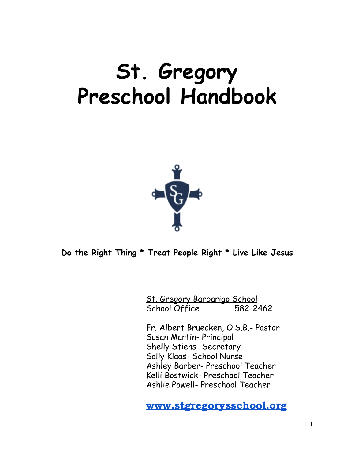# **St. Gregory Preschool Handbook**



**Do the Right Thing \* Treat People Right \* Live Like Jesus**

St. Gregory Barbarigo School School Office……………… 582-2462

Fr. Albert Bruecken, O.S.B.- Pastor Susan Martin- Principal Shelly Stiens- Secretary Sally Klaas- School Nurse Ashley Barber- Preschool Teacher Kelli Bostwick- Preschool Teacher Ashlie Powell- Preschool Teacher

[www.stgregorysschool.org](http://www.stgregorysschool.org/)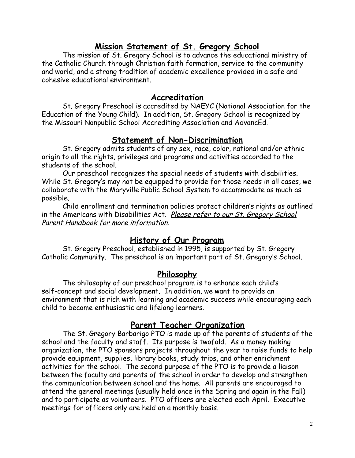# **Mission Statement of St. Gregory School**

The mission of St. Gregory School is to advance the educational ministry of the Catholic Church through Christian faith formation, service to the community and world, and a strong tradition of academic excellence provided in a safe and cohesive educational environment.

#### **Accreditation**

St. Gregory Preschool is accredited by NAEYC (National Association for the Education of the Young Child). In addition, St. Gregory School is recognized by the Missouri Nonpublic School Accrediting Association and AdvancEd.

# **Statement of Non-Discrimination**

St. Gregory admits students of any sex, race, color, national and/or ethnic origin to all the rights, privileges and programs and activities accorded to the students of the school.

Our preschool recognizes the special needs of students with disabilities. While St. Gregory's may not be equipped to provide for those needs in all cases, we collaborate with the Maryville Public School System to accommodate as much as possible.

Child enrollment and termination policies protect children's rights as outlined in the Americans with Disabilities Act. Please refer to our St. Gregory School Parent Handbook for more information.

# **History of Our Program**

St. Gregory Preschool, established in 1995, is supported by St. Gregory Catholic Community. The preschool is an important part of St. Gregory's School.

# **Philosophy**

The philosophy of our preschool program is to enhance each child's self-concept and social development. In addition, we want to provide an environment that is rich with learning and academic success while encouraging each child to become enthusiastic and lifelong learners.

# **Parent Teacher Organization**

The St. Gregory Barbarigo PTO is made up of the parents of students of the school and the faculty and staff. Its purpose is twofold. As a money making organization, the PTO sponsors projects throughout the year to raise funds to help provide equipment, supplies, library books, study trips, and other enrichment activities for the school. The second purpose of the PTO is to provide a liaison between the faculty and parents of the school in order to develop and strengthen the communication between school and the home. All parents are encouraged to attend the general meetings (usually held once in the Spring and again in the Fall) and to participate as volunteers. PTO officers are elected each April. Executive meetings for officers only are held on a monthly basis.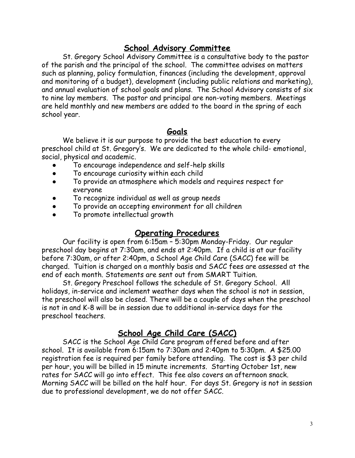# **School Advisory Committee**

St. Gregory School Advisory Committee is a consultative body to the pastor of the parish and the principal of the school. The committee advises on matters such as planning, policy formulation, finances (including the development, approval and monitoring of a budget), development (including public relations and marketing), and annual evaluation of school goals and plans. The School Advisory consists of six to nine lay members. The pastor and principal are non-voting members. Meetings are held monthly and new members are added to the board in the spring of each school year.

# **Goals**

We believe it is our purpose to provide the best education to every preschool child at St. Gregory's. We are dedicated to the whole child- emotional, social, physical and academic.

- To encourage independence and self-help skills
- To encourage curiosity within each child
- To provide an atmosphere which models and requires respect for everyone
- To recognize individual as well as group needs
- To provide an accepting environment for all children
- To promote intellectual growth

# **Operating Procedures**

Our facility is open from 6:15am – 5:30pm Monday-Friday. Our regular preschool day begins at 7:30am, and ends at 2:40pm. If a child is at our facility before 7:30am, or after 2:40pm, a School Age Child Care (SACC) fee will be charged. Tuition is charged on a monthly basis and SACC fees are assessed at the end of each month. Statements are sent out from SMART Tuition.

St. Gregory Preschool follows the schedule of St. Gregory School. All holidays, in-service and inclement weather days when the school is not in session, the preschool will also be closed. There will be a couple of days when the preschool is not in and K-8 will be in session due to additional in-service days for the preschool teachers.

# **School Age Child Care (SACC)**

SACC is the School Age Child Care program offered before and after school. It is available from 6:15am to 7:30am and 2:40pm to 5:30pm. A \$25.00 registration fee is required per family before attending. The cost is \$3 per child per hour, you will be billed in 15 minute increments. Starting October 1st, new rates for SACC will go into effect. This fee also covers an afternoon snack. Morning SACC will be billed on the half hour. For days St. Gregory is not in session due to professional development, we do not offer SACC.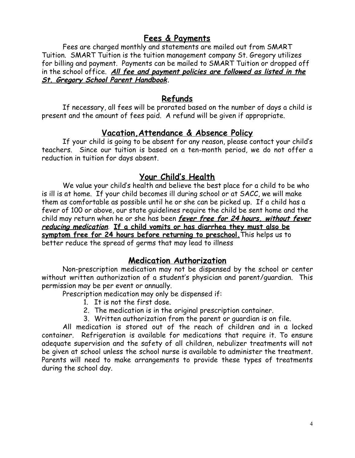# **Fees & Payments**

Fees are charged monthly and statements are mailed out from SMART Tuition. SMART Tuition is the tuition management company St. Gregory utilizes for billing and payment. Payments can be mailed to SMART Tuition or dropped off in the school office. **All fee and payment policies are followed as listed in the St. Gregory School Parent Handbook.**

# **Refunds**

If necessary, all fees will be prorated based on the number of days a child is present and the amount of fees paid. A refund will be given if appropriate.

# **Vacation,Attendance & Absence Policy**

If your child is going to be absent for any reason, please contact your child's teachers. Since our tuition is based on a ten-month period, we do not offer a reduction in tuition for days absent.

# **Your Child's Health**

We value your child's health and believe the best place for a child to be who is ill is at home. If your child becomes ill during school or at SACC, we will make them as comfortable as possible until he or she can be picked up. If a child has a fever of 100 or above, our state guidelines require the child be sent home and the child may return when he or she has been **fever free for 24 hours, without fever reducing medication**. **If a child vomits or has diarrhea they must also be symptom free for 24 hours before returning to preschool.**This helps us to better reduce the spread of germs that may lead to illness

# **Medication Authorization**

Non-prescription medication may not be dispensed by the school or center without written authorization of a student's physician and parent/guardian. This permission may be per event or annually.

Prescription medication may only be dispensed if:

- 1. It is not the first dose.
- 2. The medication is in the original prescription container.
- 3. Written authorization from the parent or guardian is on file.

All medication is stored out of the reach of children and in a locked container. Refrigeration is available for medications that require it. To ensure adequate supervision and the safety of all children, nebulizer treatments will not be given at school unless the school nurse is available to administer the treatment. Parents will need to make arrangements to provide these types of treatments during the school day.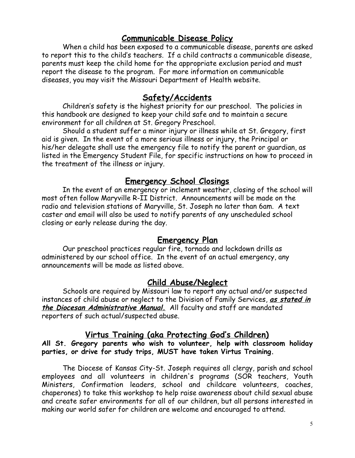# **Communicable Disease Policy**

When a child has been exposed to a communicable disease, parents are asked to report this to the child's teachers. If a child contracts a communicable disease, parents must keep the child home for the appropriate exclusion period and must report the disease to the program. For more information on communicable diseases, you may visit the Missouri Department of Health website.

#### **Safety/Accidents**

Children's safety is the highest priority for our preschool. The policies in this handbook are designed to keep your child safe and to maintain a secure environment for all children at St. Gregory Preschool.

Should a student suffer a minor injury or illness while at St. Gregory, first aid is given. In the event of a more serious illness or injury, the Principal or his/her delegate shall use the emergency file to notify the parent or guardian, as listed in the Emergency Student File, for specific instructions on how to proceed in the treatment of the illness or injury.

# **Emergency School Closings**

In the event of an emergency or inclement weather, closing of the school will most often follow Maryville R-II District. Announcements will be made on the radio and television stations of Maryville, St. Joseph no later than 6am. A text caster and email will also be used to notify parents of any unscheduled school closing or early release during the day.

#### **Emergency Plan**

Our preschool practices regular fire, tornado and lockdown drills as administered by our school office. In the event of an actual emergency, any announcements will be made as listed above.

# **Child Abuse/Neglect**

Schools are required by Missouri law to report any actual and/or suspected instances of child abuse or neglect to the Division of Family Services, **as stated in the Diocesan Administrative Manual.** All faculty and staff are mandated reporters of such actual/suspected abuse.

#### **Virtus Training (aka Protecting God's Children)**

#### **All St. Gregory parents who wish to volunteer, help with classroom holiday parties, or drive for study trips, MUST have taken Virtus Training.**

The Diocese of Kansas City-St. Joseph requires all clergy, parish and school employees and all volunteers in children's programs (SOR teachers, Youth Ministers, Confirmation leaders, school and childcare volunteers, coaches, chaperones) to take this workshop to help raise awareness about child sexual abuse and create safer environments for all of our children, but all persons interested in making our world safer for children are welcome and encouraged to attend.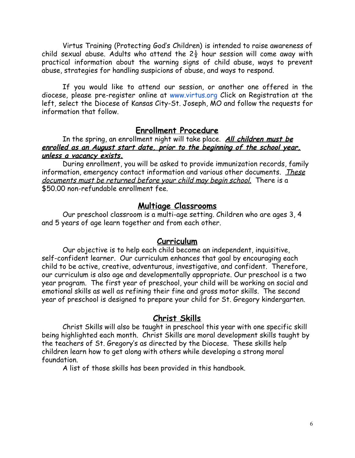Virtus Training (Protecting God's Children) is intended to raise awareness of child sexual abuse. Adults who attend the  $2\frac{1}{2}$  hour session will come away with practical information about the warning signs of child abuse, ways to prevent abuse, strategies for handling suspicions of abuse, and ways to respond.

If you would like to attend [ou](http://www.virtus.org/)r session, or another one offered in the diocese, please pre-register online at [www.virtus.org](http://www.virtus.org/) Click on Registration at the left, select the Diocese of Kansas City-St. Joseph, MO and follow the requests for information that follow.

# **Enrollment Procedure**

In the spring, an enrollment night will take place. **All children must be enrolled as an August start date, prior to the beginning of the school year, unless a vacancy exists.**

During enrollment, you will be asked to provide immunization records, family information, emergency contact information and various other documents. These documents must be returned before your child may begin school. There is a \$50.00 non-refundable enrollment fee.

# **Multiage Classrooms**

Our preschool classroom is a multi-age setting. Children who are ages 3, 4 and 5 years of age learn together and from each other.

#### **Curriculum**

Our objective is to help each child become an independent, inquisitive, self-confident learner. Our curriculum enhances that goal by encouraging each child to be active, creative, adventurous, investigative, and confident. Therefore, our curriculum is also age and developmentally appropriate. Our preschool is a two year program. The first year of preschool, your child will be working on social and emotional skills as well as refining their fine and gross motor skills. The second year of preschool is designed to prepare your child for St. Gregory kindergarten.

# **Christ Skills**

Christ Skills will also be taught in preschool this year with one specific skill being highlighted each month. Christ Skills are moral development skills taught by the teachers of St. Gregory's as directed by the Diocese. These skills help children learn how to get along with others while developing a strong moral foundation.

A list of those skills has been provided in this handbook.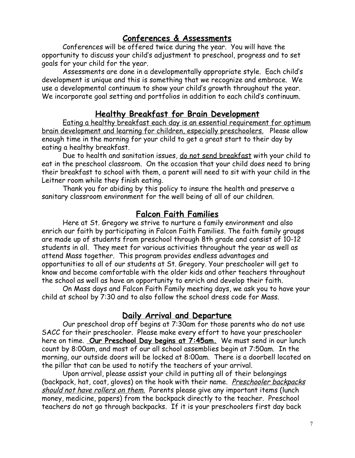# **Conferences & Assessments**

Conferences will be offered twice during the year. You will have the opportunity to discuss your child's adjustment to preschool, progress and to set goals for your child for the year.

Assessments are done in a developmentally appropriate style. Each child's development is unique and this is something that we recognize and embrace. We use a developmental continuum to show your child's growth throughout the year. We incorporate goal setting and portfolios in addition to each child's continuum.

# **Healthy Breakfast for Brain Development**

Eating a healthy breakfast each day is an essential requirement for optimum brain development and learning for children, especially preschoolers. Please allow enough time in the morning for your child to get a great start to their day by eating a healthy breakfast.

Due to health and sanitation issues, do not send breakfast with your child to eat in the preschool classroom. On the occasion that your child does need to bring their breakfast to school with them, a parent will need to sit with your child in the Leitner room while they finish eating.

Thank you for abiding by this policy to insure the health and preserve a sanitary classroom environment for the well being of all of our children.

# **Falcon Faith Families**

Here at St. Gregory we strive to nurture a family environment and also enrich our faith by participating in Falcon Faith Families. The faith family groups are made up of students from preschool through 8th grade and consist of 10-12 students in all. They meet for various activities throughout the year as well as attend Mass together. This program provides endless advantages and opportunities to all of our students at St. Gregory. Your preschooler will get to know and become comfortable with the older kids and other teachers throughout the school as well as have an opportunity to enrich and develop their faith.

On Mass days and Falcon Faith Family meeting days, we ask you to have your child at school by 7:30 and to also follow the school dress code for Mass.

# **Daily Arrival and Departure**

Our preschool drop off begins at 7:30am for those parents who do not use SACC for their preschooler. Please make every effort to have your preschooler here on time. **Our Preschool Day begins at 7:45am.** We must send in our lunch count by 8:00am, and most of our all school assemblies begin at 7:50am. In the morning, our outside doors will be locked at 8:00am. There is a doorbell located on the pillar that can be used to notify the teachers of your arrival.

Upon arrival, please assist your child in putting all of their belongings (backpack, hat, coat, gloves) on the hook with their name. Preschooler backpacks should not have rollers on them. Parents please give any important items (lunch money, medicine, papers) from the backpack directly to the teacher. Preschool teachers do not go through backpacks. If it is your preschoolers first day back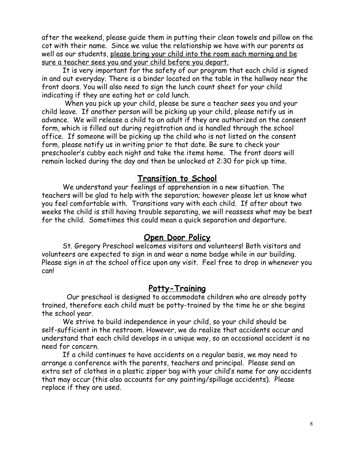after the weekend, please guide them in putting their clean towels and pillow on the cot with their name. Since we value the relationship we have with our parents as well as our students, please bring your child into the room each morning and be sure a teacher sees you and your child before you depart.

It is very important for the safety of our program that each child is signed in and out everyday. There is a binder located on the table in the hallway near the front doors. You will also need to sign the lunch count sheet for your child indicating if they are eating hot or cold lunch.

 When you pick up your child, please be sure a teacher sees you and your child leave. If another person will be picking up your child, please notify us in advance. We will release a child to an adult if they are authorized on the consent form, which is filled out during registration and is handled through the school office. If someone will be picking up the child who is not listed on the consent form, please notify us in writing prior to that date. Be sure to check your preschooler's cubby each night and take the items home. The front doors will remain locked during the day and then be unlocked at 2:30 for pick up time.

# **Transition to School**

We understand your feelings of apprehension in a new situation. The teachers will be glad to help with the separation; however please let us know what you feel comfortable with. Transitions vary with each child. If after about two weeks the child is still having trouble separating, we will reassess what may be best for the child. Sometimes this could mean a quick separation and departure.

# **Open Door Policy**

St. Gregory Preschool welcomes visitors and volunteers! Both visitors and volunteers are expected to sign in and wear a name badge while in our building. Please sign in at the school office upon any visit. Feel free to drop in whenever you can!

# **Potty-Training**

 Our preschool is designed to accommodate children who are already potty trained, therefore each child must be potty-trained by the time he or she begins the school year.

We strive to build independence in your child, so your child should be self-sufficient in the restroom. However, we do realize that accidents occur and understand that each child develops in a unique way, so an occasional accident is no need for concern.

If a child continues to have accidents on a regular basis, we may need to arrange a conference with the parents, teachers and principal. Please send an extra set of clothes in a plastic zipper bag with your child's name for any accidents that may occur (this also accounts for any painting/spillage accidents). Please replace if they are used.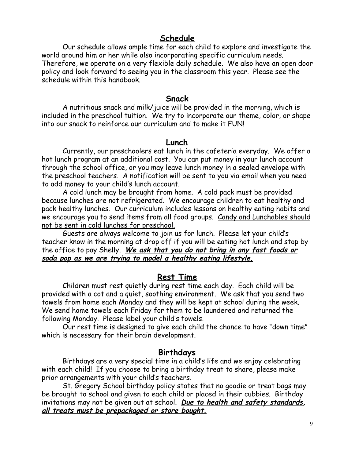# **Schedule**

Our schedule allows ample time for each child to explore and investigate the world around him or her while also incorporating specific curriculum needs. Therefore, we operate on a very flexible daily schedule. We also have an open door policy and look forward to seeing you in the classroom this year. Please see the schedule within this handbook.

#### **Snack**

A nutritious snack and milk/juice will be provided in the morning, which is included in the preschool tuition. We try to incorporate our theme, color, or shape into our snack to reinforce our curriculum and to make it FUN!

#### **Lunch**

Currently, our preschoolers eat lunch in the cafeteria everyday. We offer a hot lunch program at an additional cost. You can put money in your lunch account through the school office, or you may leave lunch money in a sealed envelope with the preschool teachers. A notification will be sent to you via email when you need to add money to your child's lunch account.

A cold lunch may be brought from home. A cold pack must be provided because lunches are not refrigerated. We encourage children to eat healthy and pack healthy lunches. Our curriculum includes lessons on healthy eating habits and we encourage you to send items from all food groups. Candy and Lunchables should not be sent in cold lunches for preschool.

Guests are always welcome to join us for lunch. Please let your child's teacher know in the morning at drop off if you will be eating hot lunch and stop by the office to pay Shelly. **We ask that you do not bring in any fast foods or soda pop as we are trying to model a healthy eating lifestyle.**

#### **Rest Time**

Children must rest quietly during rest time each day. Each child will be provided with a cot and a quiet, soothing environment. We ask that you send two towels from home each Monday and they will be kept at school during the week. We send home towels each Friday for them to be laundered and returned the following Monday. Please label your child's towels.

Our rest time is designed to give each child the chance to have "down time" which is necessary for their brain development.

#### **Birthdays**

Birthdays are a very special time in a child's life and we enjoy celebrating with each child! If you choose to bring a birthday treat to share, please make prior arrangements with your child's teachers.

St. Gregory School birthday policy states that no goodie or treat bags may be brought to school and given to each child or placed in their cubbies. Birthday invitations may not be given out at school. **Due to health and safety standards, all treats must be prepackaged or store bought.**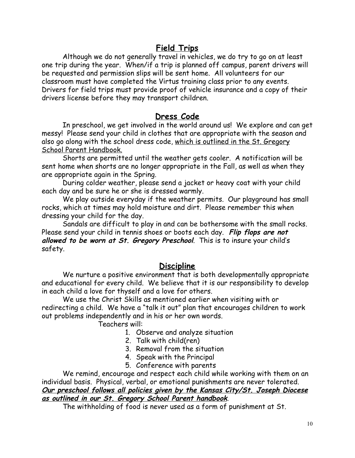# **Field Trips**

Although we do not generally travel in vehicles, we do try to go on at least one trip during the year. When/if a trip is planned off campus, parent drivers will be requested and permission slips will be sent home. All volunteers for our classroom must have completed the Virtus training class prior to any events. Drivers for field trips must provide proof of vehicle insurance and a copy of their drivers license before they may transport children.

# **Dress Code**

In preschool, we get involved in the world around us! We explore and can get messy! Please send your child in clothes that are appropriate with the season and also go along with the school dress code, which is outlined in the St. Gregory School Parent Handbook.

Shorts are permitted until the weather gets cooler. A notification will be sent home when shorts are no longer appropriate in the Fall, as well as when they are appropriate again in the Spring.

During colder weather, please send a jacket or heavy coat with your child each day and be sure he or she is dressed warmly.

We play outside everyday if the weather permits. Our playground has small rocks, which at times may hold moisture and dirt. Please remember this when dressing your child for the day.

Sandals are difficult to play in and can be bothersome with the small rocks. Please send your child in tennis shoes or boots each day. **Flip flops are not allowed to be worn at St. Gregory Preschool**. This is to insure your child's safety.

# **Discipline**

We nurture a positive environment that is both developmentally appropriate and educational for every child. We believe that it is our responsibility to develop in each child a love for thyself and a love for others.

We use the Christ Skills as mentioned earlier when visiting with or redirecting a child. We have a "talk it out" plan that encourages children to work out problems independently and in his or her own words.

Teachers will:

- 1. Observe and analyze situation
- 2. Talk with child(ren)
- 3. Removal from the situation
- 4. Speak with the Principal
- 5. Conference with parents

We remind, encourage and respect each child while working with them on an individual basis. Physical, verbal, or emotional punishments are never tolerated. **Our preschool follows all policies given by the Kansas City/St. Joseph Diocese as outlined in our St. Gregory School Parent handbook**.

The withholding of food is never used as a form of punishment at St.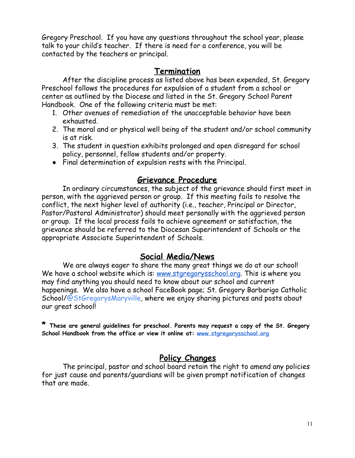Gregory Preschool. If you have any questions throughout the school year, please talk to your child's teacher. If there is need for a conference, you will be contacted by the teachers or principal.

# **Termination**

After the discipline process as listed above has been expended, St. Gregory Preschool follows the procedures for expulsion of a student from a school or center as outlined by the Diocese and listed in the St. Gregory School Parent Handbook. One of the following criteria must be met:

- 1. Other avenues of remediation of the unacceptable behavior have been exhausted.
- 2. The moral and or physical well being of the student and/or school community is at risk.
- 3. The student in question exhibits prolonged and open disregard for school policy, personnel, fellow students and/or property.
- Final determination of expulsion rests with the Principal.

# **Grievance Procedure**

In ordinary circumstances, the subject of the grievance should first meet in person, with the aggrieved person or group. If this meeting fails to resolve the conflict, the next higher level of authority (i.e., teacher, Principal or Director, Pastor/Pastoral Administrator) should meet personally with the aggrieved person or group. If the local process fails to achieve agreement or satisfaction, the grievance should be referred to the Diocesan Superintendent of Schools or the appropriate Associate Superintendent of Schools.

# **Social Media/News**

We are always eager to share the many great things we do at our school! We have a school website which is: [www.stgregorysschool.org.](http://www.stgregorysschool.org/) This is where you may find anything you should need to know about our school and current happenings. We also have a school FaceBook page; St. Gregory Barbarigo Catholic School/@StGregorysMaryville, where we enjoy sharing pictures and posts about our great school!

**\* These are general guidelines for preschool. Parents may request a copy of the St. Gregory School Handbook from the office or view it online at: [www.stgregorysschool.org](http://www.stgregorysschool.org/)**

# **Policy Changes**

The principal, pastor and school board retain the right to amend any policies for just cause and parents/guardians will be given prompt notification of changes that are made.